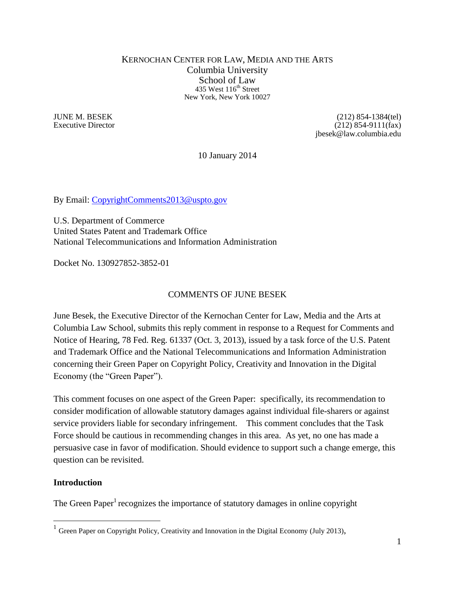#### KERNOCHAN CENTER FOR LAW, MEDIA AND THE ARTS Columbia University School of Law 435 West 116<sup>th</sup> Street New York, New York 10027

JUNE M. BESEK (212) 854-1384(tel) Executive Director (212) 854-9111(fax) jbesek@law.columbia.edu

10 January 2014

By Email: [CopyrightComments2013@uspto.gov](mailto:CopyrightComments2013@uspto.gov)

U.S. Department of Commerce United States Patent and Trademark Office National Telecommunications and Information Administration

Docket No. 130927852-3852-01

## COMMENTS OF JUNE BESEK

June Besek, the Executive Director of the Kernochan Center for Law, Media and the Arts at Columbia Law School, submits this reply comment in response to a Request for Comments and Notice of Hearing, 78 Fed. Reg. 61337 (Oct. 3, 2013), issued by a task force of the U.S. Patent and Trademark Office and the National Telecommunications and Information Administration concerning their Green Paper on Copyright Policy, Creativity and Innovation in the Digital Economy (the "Green Paper").

This comment focuses on one aspect of the Green Paper: specifically, its recommendation to consider modification of allowable statutory damages against individual file-sharers or against service providers liable for secondary infringement. This comment concludes that the Task Force should be cautious in recommending changes in this area. As yet, no one has made a persuasive case in favor of modification. Should evidence to support such a change emerge, this question can be revisited.

### **Introduction**

 $\overline{a}$ 

The Green Paper<sup>1</sup> recognizes the importance of statutory damages in online copyright

<sup>&</sup>lt;sup>1</sup> Green Paper on Copyright Policy, Creativity and Innovation in the Digital Economy (July 2013),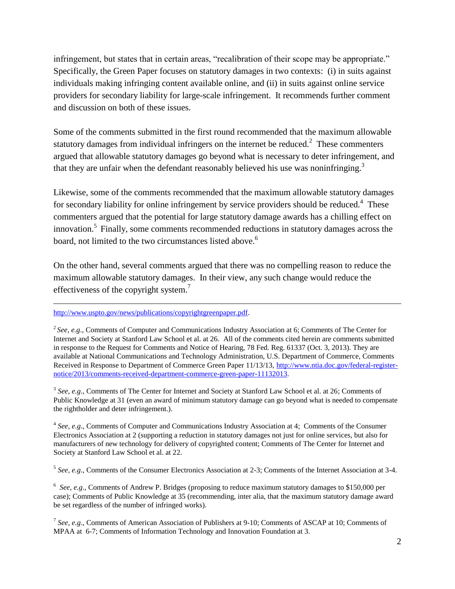infringement, but states that in certain areas, "recalibration of their scope may be appropriate." Specifically, the Green Paper focuses on statutory damages in two contexts: (i) in suits against individuals making infringing content available online, and (ii) in suits against online service providers for secondary liability for large-scale infringement. It recommends further comment and discussion on both of these issues.

Some of the comments submitted in the first round recommended that the maximum allowable statutory damages from individual infringers on the internet be reduced.<sup>2</sup> These commenters argued that allowable statutory damages go beyond what is necessary to deter infringement, and that they are unfair when the defendant reasonably believed his use was noninfringing.<sup>3</sup>

Likewise, some of the comments recommended that the maximum allowable statutory damages for secondary liability for online infringement by service providers should be reduced.<sup>4</sup> These commenters argued that the potential for large statutory damage awards has a chilling effect on innovation.<sup>5</sup> Finally, some comments recommended reductions in statutory damages across the board, not limited to the two circumstances listed above.<sup>6</sup>

On the other hand, several comments argued that there was no compelling reason to reduce the maximum allowable statutory damages. In their view, any such change would reduce the effectiveness of the copyright system.<sup>7</sup>

#### [http://www.uspto.gov/news/publications/copyrightgreenpaper.pdf.](http://www.uspto.gov/news/publications/copyrightgreenpaper.pdf)

 $\overline{a}$ 

<sup>3</sup> See, e.g., Comments of The Center for Internet and Society at Stanford Law School et al. at 26; Comments of Public Knowledge at 31 (even an award of minimum statutory damage can go beyond what is needed to compensate the rightholder and deter infringement.).

<sup>4</sup> See, e.g., Comments of Computer and Communications Industry Association at 4; Comments of the Consumer Electronics Association at 2 (supporting a reduction in statutory damages not just for online services, but also for manufacturers of new technology for delivery of copyrighted content; Comments of The Center for Internet and Society at Stanford Law School et al. at 22.

5 *See, e.g*., Comments of the Consumer Electronics Association at 2-3; Comments of the Internet Association at 3-4.

<sup>6</sup> See, e.g., Comments of Andrew P. Bridges (proposing to reduce maximum statutory damages to \$150,000 per case); Comments of Public Knowledge at 35 (recommending, inter alia, that the maximum statutory damage award be set regardless of the number of infringed works).

<sup>7</sup> See, e.g., Comments of American Association of Publishers at 9-10; Comments of ASCAP at 10; Comments of MPAA at 6-7; Comments of Information Technology and Innovation Foundation at 3.

<sup>&</sup>lt;sup>2</sup> See, e.g., Comments of Computer and Communications Industry Association at 6; Comments of The Center for Internet and Society at Stanford Law School et al. at 26. All of the comments cited herein are comments submitted in response to the Request for Comments and Notice of Hearing, 78 Fed. Reg. 61337 (Oct. 3, 2013). They are available at National Communications and Technology Administration, U.S. Department of Commerce, Comments Received in Response to Department of Commerce Green Paper 11/13/13, [http://www.ntia.doc.gov/federal-register](http://www.ntia.doc.gov/federal-register-notice/2013/comments-received-department-commerce-green-paper-11132013)[notice/2013/comments-received-department-commerce-green-paper-11132013.](http://www.ntia.doc.gov/federal-register-notice/2013/comments-received-department-commerce-green-paper-11132013)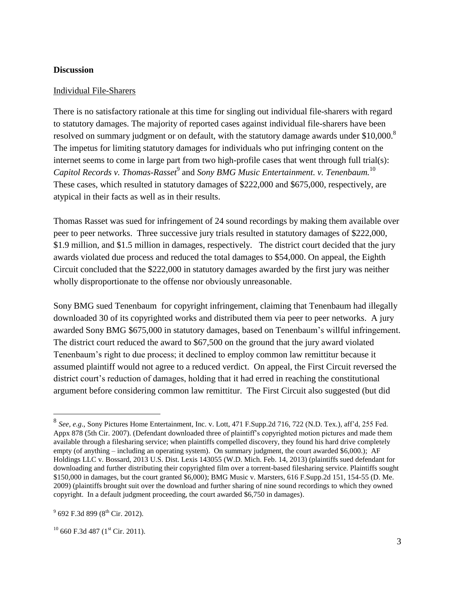#### **Discussion**

#### Individual File-Sharers

There is no satisfactory rationale at this time for singling out individual file-sharers with regard to statutory damages. The majority of reported cases against individual file-sharers have been resolved on summary judgment or on default, with the statutory damage awards under \$10,000.<sup>8</sup> The impetus for limiting statutory damages for individuals who put infringing content on the internet seems to come in large part from two high-profile cases that went through full trial(s): Capitol Records *v. Thomas-Rasset*<sup>9</sup> and *Sony BMG Music Entertainment. v. Tenenbaum.*<sup>10</sup> These cases, which resulted in statutory damages of \$222,000 and \$675,000, respectively, are atypical in their facts as well as in their results.

Thomas Rasset was sued for infringement of 24 sound recordings by making them available over peer to peer networks. Three successive jury trials resulted in statutory damages of \$222,000, \$1.9 million, and \$1.5 million in damages, respectively. The district court decided that the jury awards violated due process and reduced the total damages to \$54,000. On appeal, the Eighth Circuit concluded that the \$222,000 in statutory damages awarded by the first jury was neither wholly disproportionate to the offense nor obviously unreasonable.

Sony BMG sued Tenenbaum for copyright infringement, claiming that Tenenbaum had illegally downloaded 30 of its copyrighted works and distributed them via peer to peer networks. A jury awarded Sony BMG \$675,000 in statutory damages, based on Tenenbaum's willful infringement. The district court reduced the award to \$67,500 on the ground that the jury award violated Tenenbaum's right to due process; it declined to employ common law remittitur because it assumed plaintiff would not agree to a reduced verdict. On appeal, the First Circuit reversed the district court's reduction of damages, holding that it had erred in reaching the constitutional argument before considering common law remittitur. The First Circuit also suggested (but did

 $\overline{a}$ 

<sup>8</sup> *See, e.g*., Sony Pictures Home Entertainment, Inc. v. Lott, 471 F.Supp.2d 716, 722 (N.D. Tex.), aff'd, 255 Fed. Appx 878 (5th Cir. 2007). (Defendant downloaded three of plaintiff's copyrighted motion pictures and made them available through a filesharing service; when plaintiffs compelled discovery, they found his hard drive completely empty (of anything – including an operating system). On summary judgment, the court awarded \$6,000.); AF Holdings LLC v. Bossard, 2013 U.S. Dist. Lexis 143055 (W.D. Mich. Feb. 14, 2013) (plaintiffs sued defendant for downloading and further distributing their copyrighted film over a torrent-based filesharing service. Plaintiffs sought \$150,000 in damages, but the court granted \$6,000); BMG Music v. Marsters, 616 F.Supp.2d 151, 154-55 (D. Me. 2009) (plaintiffs brought suit over the download and further sharing of nine sound recordings to which they owned copyright. In a default judgment proceeding, the court awarded \$6,750 in damages).

 $^{9}$  692 F.3d 899 (8<sup>th</sup> Cir. 2012).

 $10$  660 F.3d 487 ( $1<sup>st</sup>$  Cir. 2011).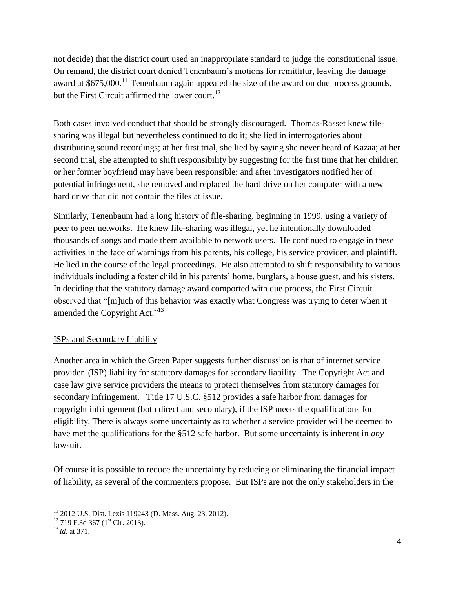not decide) that the district court used an inappropriate standard to judge the constitutional issue. On remand, the district court denied Tenenbaum's motions for remittitur, leaving the damage award at  $$675,000$ .<sup>11</sup> Tenenbaum again appealed the size of the award on due process grounds, but the First Circuit affirmed the lower court.<sup>12</sup>

Both cases involved conduct that should be strongly discouraged. Thomas-Rasset knew filesharing was illegal but nevertheless continued to do it; she lied in interrogatories about distributing sound recordings; at her first trial, she lied by saying she never heard of Kazaa; at her second trial, she attempted to shift responsibility by suggesting for the first time that her children or her former boyfriend may have been responsible; and after investigators notified her of potential infringement, she removed and replaced the hard drive on her computer with a new hard drive that did not contain the files at issue.

Similarly, Tenenbaum had a long history of file-sharing, beginning in 1999, using a variety of peer to peer networks. He knew file-sharing was illegal, yet he intentionally downloaded thousands of songs and made them available to network users. He continued to engage in these activities in the face of warnings from his parents, his college, his service provider, and plaintiff. He lied in the course of the legal proceedings. He also attempted to shift responsibility to various individuals including a foster child in his parents' home, burglars, a house guest, and his sisters. In deciding that the statutory damage award comported with due process, the First Circuit observed that "[m]uch of this behavior was exactly what Congress was trying to deter when it amended the Copyright Act."<sup>13</sup>

# ISPs and Secondary Liability

Another area in which the Green Paper suggests further discussion is that of internet service provider (ISP) liability for statutory damages for secondary liability. The Copyright Act and case law give service providers the means to protect themselves from statutory damages for secondary infringement. Title 17 U.S.C. §512 provides a safe harbor from damages for copyright infringement (both direct and secondary), if the ISP meets the qualifications for eligibility. There is always some uncertainty as to whether a service provider will be deemed to have met the qualifications for the §512 safe harbor. But some uncertainty is inherent in *any* lawsuit.

Of course it is possible to reduce the uncertainty by reducing or eliminating the financial impact of liability, as several of the commenters propose. But ISPs are not the only stakeholders in the

 $\overline{a}$ 

<sup>&</sup>lt;sup>11</sup> 2012 U.S. Dist. Lexis 119243 (D. Mass. Aug. 23, 2012).

 $12$  719 F.3d 367 (1<sup>st</sup> Cir. 2013).

<sup>13</sup> *Id*. at 371.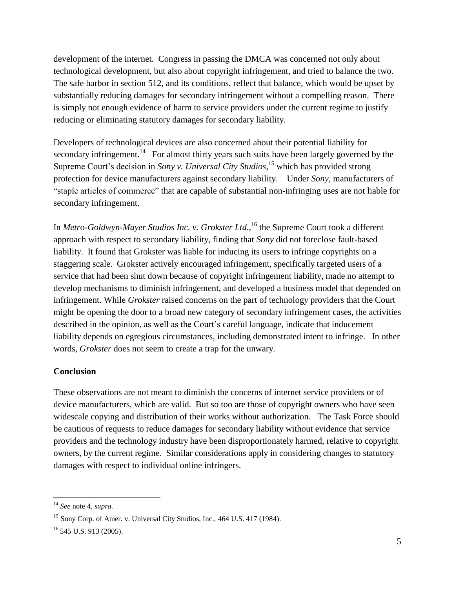development of the internet. Congress in passing the DMCA was concerned not only about technological development, but also about copyright infringement, and tried to balance the two. The safe harbor in section 512, and its conditions, reflect that balance, which would be upset by substantially reducing damages for secondary infringement without a compelling reason. There is simply not enough evidence of harm to service providers under the current regime to justify reducing or eliminating statutory damages for secondary liability.

Developers of technological devices are also concerned about their potential liability for secondary infringement.<sup>14</sup> For almost thirty years such suits have been largely governed by the Supreme Court's decision in *Sony v. Universal City Studios*, <sup>15</sup> which has provided strong protection for device manufacturers against secondary liability. Under *Sony*, manufacturers of "staple articles of commerce" that are capable of substantial non-infringing uses are not liable for secondary infringement.

In *Metro-Goldwyn-Mayer Studios Inc. v. Grokster Ltd*., <sup>16</sup> the Supreme Court took a different approach with respect to secondary liability, finding that *Sony* did not foreclose fault-based liability. It found that Grokster was liable for inducing its users to infringe copyrights on a staggering scale. Grokster actively encouraged infringement, specifically targeted users of a service that had been shut down because of copyright infringement liability, made no attempt to develop mechanisms to diminish infringement, and developed a business model that depended on infringement. While *Grokster* raised concerns on the part of technology providers that the Court might be opening the door to a broad new category of secondary infringement cases, the activities described in the opinion, as well as the Court's careful language, indicate that inducement liability depends on egregious circumstances, including demonstrated intent to infringe. In other words, *Grokster* does not seem to create a trap for the unwary.

### **Conclusion**

These observations are not meant to diminish the concerns of internet service providers or of device manufacturers, which are valid. But so too are those of copyright owners who have seen widescale copying and distribution of their works without authorization. The Task Force should be cautious of requests to reduce damages for secondary liability without evidence that service providers and the technology industry have been disproportionately harmed, relative to copyright owners, by the current regime. Similar considerations apply in considering changes to statutory damages with respect to individual online infringers.

 $\overline{a}$ 

<sup>14</sup> *See* note 4, *supra.*

<sup>&</sup>lt;sup>15</sup> Sony Corp. of Amer. v. Universal City Studios, Inc., 464 U.S. 417 (1984).

<sup>16</sup> 545 U.S. 913 (2005).